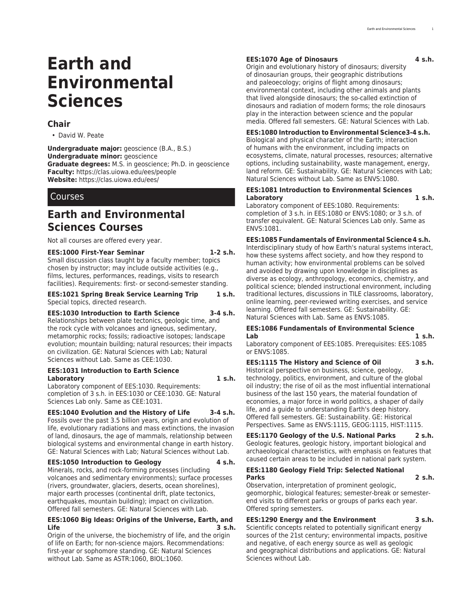# **Earth and Environmental Sciences**

## **Chair**

• David W. Peate

**Undergraduate major:** geoscience (B.A., B.S.) **Undergraduate minor:** geoscience **Graduate degrees:** M.S. in geoscience; Ph.D. in geoscience **Faculty:** [https://clas.uiowa.edu/ees/people](https://clas.uiowa.edu/ees/people/) **Website:** <https://clas.uiowa.edu/ees/>

## Courses

## **Earth and Environmental Sciences Courses**

Not all courses are offered every year.

## **EES:1000 First-Year Seminar 1-2 s.h.**

Small discussion class taught by a faculty member; topics chosen by instructor; may include outside activities (e.g., films, lectures, performances, readings, visits to research facilities). Requirements: first- or second-semester standing.

#### **EES:1021 Spring Break Service Learning Trip 1 s.h.** Special topics, directed research.

#### **EES:1030 Introduction to Earth Science 3-4 s.h.**

Relationships between plate tectonics, geologic time, and the rock cycle with volcanoes and igneous, sedimentary, metamorphic rocks; fossils; radioactive isotopes; landscape evolution; mountain building; natural resources; their impacts on civilization. GE: Natural Sciences with Lab; Natural Sciences without Lab. Same as CEE:1030.

### **EES:1031 Introduction to Earth Science Laboratory 1 s.h.**

Laboratory component of EES:1030. Requirements: completion of 3 s.h. in EES:1030 or CEE:1030. GE: Natural Sciences Lab only. Same as CEE:1031.

## **EES:1040 Evolution and the History of Life 3-4 s.h.**

Fossils over the past 3.5 billion years, origin and evolution of life, evolutionary radiations and mass extinctions, the invasion of land, dinosaurs, the age of mammals, relationship between biological systems and environmental change in earth history. GE: Natural Sciences with Lab; Natural Sciences without Lab.

## **EES:1050 Introduction to Geology 4 s.h.**

Minerals, rocks, and rock-forming processes (including volcanoes and sedimentary environments); surface processes (rivers, groundwater, glaciers, deserts, ocean shorelines), major earth processes (continental drift, plate tectonics, earthquakes, mountain building); impact on civilization. Offered fall semesters. GE: Natural Sciences with Lab.

### **EES:1060 Big Ideas: Origins of the Universe, Earth, and Life 3 s.h.**

Origin of the universe, the biochemistry of life, and the origin of life on Earth; for non-science majors. Recommendations: first-year or sophomore standing. GE: Natural Sciences without Lab. Same as ASTR:1060, BIOL:1060.

## **EES:1070 Age of Dinosaurs 4 s.h.**

Origin and evolutionary history of dinosaurs; diversity of dinosaurian groups, their geographic distributions and paleoecology; origins of flight among dinosaurs; environmental context, including other animals and plants that lived alongside dinosaurs; the so-called extinction of dinosaurs and radiation of modern forms; the role dinosaurs play in the interaction between science and the popular media. Offered fall semesters. GE: Natural Sciences with Lab.

## **EES:1080 Introduction to Environmental Science3-4 s.h.**

Biological and physical character of the Earth; interaction of humans with the environment, including impacts on ecosystems, climate, natural processes, resources; alternative options, including sustainability, waste management, energy, land reform. GE: Sustainability. GE: Natural Sciences with Lab; Natural Sciences without Lab. Same as ENVS:1080.

#### **EES:1081 Introduction to Environmental Sciences Laboratory 1 s.h.**

Laboratory component of EES:1080. Requirements: completion of 3 s.h. in EES:1080 or ENVS:1080; or 3 s.h. of transfer equivalent. GE: Natural Sciences Lab only. Same as ENVS:1081.

**EES:1085 Fundamentals of Environmental Science4 s.h.**

Interdisciplinary study of how Earth's natural systems interact, how these systems affect society, and how they respond to human activity; how environmental problems can be solved and avoided by drawing upon knowledge in disciplines as diverse as ecology, anthropology, economics, chemistry, and political science; blended instructional environment, including traditional lectures, discussions in TILE classrooms, laboratory, online learning, peer-reviewed writing exercises, and service learning. Offered fall semesters. GE: Sustainability. GE: Natural Sciences with Lab. Same as ENVS:1085.

## **EES:1086 Fundamentals of Environmental Science Lab 1 s.h.**

Laboratory component of EES:1085. Prerequisites: EES:1085 or ENVS:1085.

**EES:1115 The History and Science of Oil 3 s.h.** Historical perspective on business, science, geology, technology, politics, environment, and culture of the global oil industry; the rise of oil as the most influential international business of the last 150 years, the material foundation of economies, a major force in world politics, a shaper of daily life, and a guide to understanding Earth's deep history. Offered fall semesters. GE: Sustainability. GE: Historical Perspectives. Same as ENVS:1115, GEOG:1115, HIST:1115.

**EES:1170 Geology of the U.S. National Parks 2 s.h.** Geologic features, geologic history, important biological and archaeological characteristics, with emphasis on features that caused certain areas to be included in national park system.

## **EES:1180 Geology Field Trip: Selected National Parks 2 s.h.**

Observation, interpretation of prominent geologic, geomorphic, biological features; semester-break or semesterend visits to different parks or groups of parks each year. Offered spring semesters.

## **EES:1290 Energy and the Environment 3 s.h.**

Scientific concepts related to potentially significant energy sources of the 21st century; environmental impacts, positive and negative, of each energy source as well as geologic and geographical distributions and applications. GE: Natural Sciences without Lab.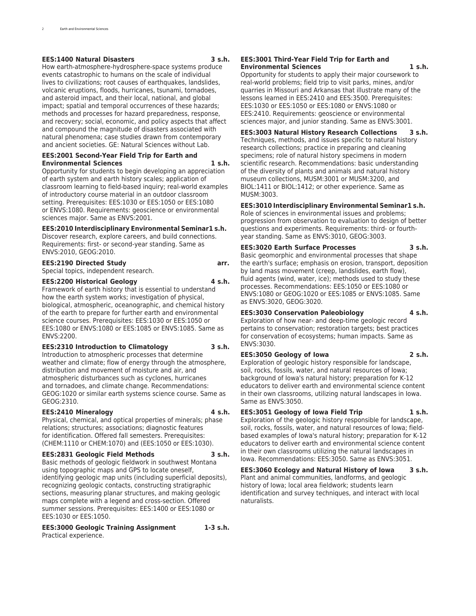#### **EES:1400 Natural Disasters 3 s.h.**

How earth-atmosphere-hydrosphere-space systems produce events catastrophic to humans on the scale of individual lives to civilizations; root causes of earthquakes, landslides, volcanic eruptions, floods, hurricanes, tsunami, tornadoes, and asteroid impact, and their local, national, and global impact; spatial and temporal occurrences of these hazards; methods and processes for hazard preparedness, response, and recovery; social, economic, and policy aspects that affect and compound the magnitude of disasters associated with natural phenomena; case studies drawn from contemporary

#### **EES:2001 Second-Year Field Trip for Earth and Environmental Sciences 1 s.h.**

and ancient societies. GE: Natural Sciences without Lab.

Opportunity for students to begin developing an appreciation of earth system and earth history scales; application of classroom learning to field-based inquiry; real-world examples of introductory course material in an outdoor classroom setting. Prerequisites: EES:1030 or EES:1050 or EES:1080 or ENVS:1080. Requirements: geoscience or environmental sciences major. Same as ENVS:2001.

## **EES:2010 Interdisciplinary Environmental Seminar1 s.h.**

Discover research, explore careers, and build connections. Requirements: first- or second-year standing. Same as ENVS:2010, GEOG:2010.

### **EES:2190 Directed Study arr.**

Special topics, independent research.

#### **EES:2200 Historical Geology 4 s.h.**

Framework of earth history that is essential to understand how the earth system works; investigation of physical, biological, atmospheric, oceanographic, and chemical history of the earth to prepare for further earth and environmental science courses. Prerequisites: EES:1030 or EES:1050 or EES:1080 or ENVS:1080 or EES:1085 or ENVS:1085. Same as  $ENVS:2200$ 

#### **EES:2310 Introduction to Climatology 3 s.h.**

Introduction to atmospheric processes that determine weather and climate; flow of energy through the atmosphere, distribution and movement of moisture and air, and atmospheric disturbances such as cyclones, hurricanes and tornadoes, and climate change. Recommendations: GEOG:1020 or similar earth systems science course. Same as GEOG:2310.

#### **EES:2410 Mineralogy 4 s.h.**

Physical, chemical, and optical properties of minerals; phase relations; structures; associations; diagnostic features for identification. Offered fall semesters. Prerequisites: (CHEM:1110 or CHEM:1070) and (EES:1050 or EES:1030).

#### **EES:2831 Geologic Field Methods 3 s.h.**

Basic methods of geologic fieldwork in southwest Montana using topographic maps and GPS to locate oneself, identifying geologic map units (including superficial deposits), recognizing geologic contacts, constructing stratigraphic sections, measuring planar structures, and making geologic maps complete with a legend and cross-section. Offered summer sessions. Prerequisites: EES:1400 or EES:1080 or EES:1030 or EES:1050.

**EES:3000 Geologic Training Assignment 1-3 s.h.** Practical experience.

#### **EES:3001 Third-Year Field Trip for Earth and Environmental Sciences 1 s.h.**

Opportunity for students to apply their major coursework to real-world problems; field trip to visit parks, mines, and/or quarries in Missouri and Arkansas that illustrate many of the lessons learned in EES:2410 and EES:3500. Prerequisites: EES:1030 or EES:1050 or EES:1080 or ENVS:1080 or EES:2410. Requirements: geoscience or environmental sciences major, and junior standing. Same as ENVS:3001.

## **EES:3003 Natural History Research Collections 3 s.h.**

Techniques, methods, and issues specific to natural history research collections; practice in preparing and cleaning specimens; role of natural history specimens in modern scientific research. Recommendations: basic understanding of the diversity of plants and animals and natural history museum collections, MUSM:3001 or MUSM:3200, and BIOL:1411 or BIOL:1412; or other experience. Same as MUSM:3003.

## **EES:3010 Interdisciplinary Environmental Seminar1 s.h.**

Role of sciences in environmental issues and problems; progression from observation to evaluation to design of better questions and experiments. Requirements: third- or fourthyear standing. Same as ENVS:3010, GEOG:3003.

## **EES:3020 Earth Surface Processes 3 s.h.**

Basic geomorphic and environmental processes that shape the earth's surface; emphasis on erosion, transport, deposition by land mass movement (creep, landslides, earth flow), fluid agents (wind, water, ice); methods used to study these processes. Recommendations: EES:1050 or EES:1080 or ENVS:1080 or GEOG:1020 or EES:1085 or ENVS:1085. Same as ENVS:3020, GEOG:3020.

## **EES:3030 Conservation Paleobiology 4 s.h.**

Exploration of how near- and deep-time geologic record pertains to conservation; restoration targets; best practices for conservation of ecosystems; human impacts. Same as ENVS:3030.

## **EES:3050 Geology of Iowa 2 s.h.**

Exploration of geologic history responsible for landscape, soil, rocks, fossils, water, and natural resources of Iowa; background of Iowa's natural history; preparation for K-12 educators to deliver earth and environmental science content in their own classrooms, utilizing natural landscapes in Iowa. Same as ENVS:3050.

#### **EES:3051 Geology of Iowa Field Trip 1 s.h.**

Exploration of the geologic history responsible for landscape, soil, rocks, fossils, water, and natural resources of Iowa; fieldbased examples of Iowa's natural history; preparation for K-12 educators to deliver earth and environmental science content in their own classrooms utilizing the natural landscapes in Iowa. Recommendations: EES:3050. Same as ENVS:3051.

**EES:3060 Ecology and Natural History of Iowa 3 s.h.** Plant and animal communities, landforms, and geologic history of Iowa; local area fieldwork; students learn identification and survey techniques, and interact with local naturalists.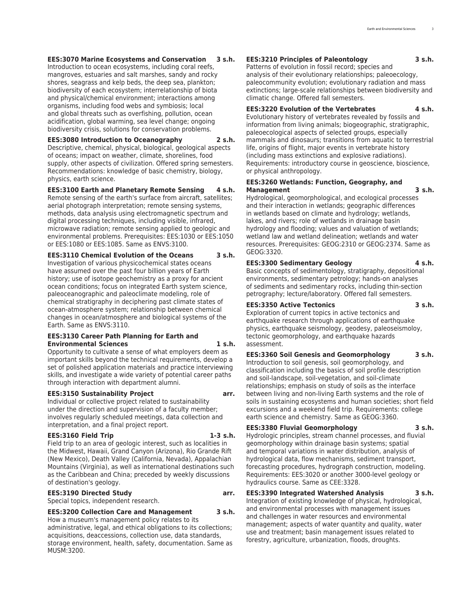### **EES:3070 Marine Ecosystems and Conservation 3 s.h.**

Introduction to ocean ecosystems, including coral reefs, mangroves, estuaries and salt marshes, sandy and rocky shores, seagrass and kelp beds, the deep sea, plankton; biodiversity of each ecosystem; interrelationship of biota and physical/chemical environment; interactions among organisms, including food webs and symbiosis; local and global threats such as overfishing, pollution, ocean acidification, global warming, sea level change; ongoing biodiversity crisis, solutions for conservation problems.

#### **EES:3080 Introduction to Oceanography 2 s.h.**

Descriptive, chemical, physical, biological, geological aspects of oceans; impact on weather, climate, shorelines, food supply, other aspects of civilization. Offered spring semesters. Recommendations: knowledge of basic chemistry, biology, physics, earth science.

#### **EES:3100 Earth and Planetary Remote Sensing 4 s.h.**

Remote sensing of the earth's surface from aircraft, satellites; aerial photograph interpretation; remote sensing systems, methods, data analysis using electromagnetic spectrum and digital processing techniques, including visible, infrared, microwave radiation; remote sensing applied to geologic and environmental problems. Prerequisites: EES:1030 or EES:1050 or EES:1080 or EES:1085. Same as ENVS:3100.

**EES:3110 Chemical Evolution of the Oceans 3 s.h.** Investigation of various physicochemical states oceans have assumed over the past four billion years of Earth history; use of isotope geochemistry as a proxy for ancient ocean conditions; focus on integrated Earth system science, paleoceanographic and paleoclimate modeling, role of chemical stratigraphy in deciphering past climate states of ocean-atmosphere system; relationship between chemical changes in ocean/atmosphere and biological systems of the Earth. Same as ENVS:3110.

#### **EES:3130 Career Path Planning for Earth and Environmental Sciences 1 s.h.**

Opportunity to cultivate a sense of what employers deem as important skills beyond the technical requirements, develop a set of polished application materials and practice interviewing skills, and investigate a wide variety of potential career paths through interaction with department alumni.

#### **EES:3150 Sustainability Project arr.**

Individual or collective project related to sustainability under the direction and supervision of a faculty member; involves regularly scheduled meetings, data collection and interpretation, and a final project report.

#### **EES:3160 Field Trip 1-3 s.h.**

Field trip to an area of geologic interest, such as localities in the Midwest, Hawaii, Grand Canyon (Arizona), Rio Grande Rift (New Mexico), Death Valley (California, Nevada), Appalachian Mountains (Virginia), as well as international destinations such as the Caribbean and China; preceded by weekly discussions of destination's geology.

#### **EES:3190 Directed Study arr.**

Special topics, independent research.

## **EES:3200 Collection Care and Management 3 s.h.**

How a museum's management policy relates to its administrative, legal, and ethical obligations to its collections; acquisitions, deaccessions, collection use, data standards, storage environment, health, safety, documentation. Same as MUSM:3200.

#### **EES:3210 Principles of Paleontology 3 s.h.**

Patterns of evolution in fossil record; species and analysis of their evolutionary relationships; paleoecology, paleocommunity evolution; evolutionary radiation and mass extinctions; large-scale relationships between biodiversity and climatic change. Offered fall semesters.

#### **EES:3220 Evolution of the Vertebrates 4 s.h.**

Evolutionary history of vertebrates revealed by fossils and information from living animals; biogeographic, stratigraphic, paleoecological aspects of selected groups, especially mammals and dinosaurs; transitions from aquatic to terrestrial life, origins of flight, major events in vertebrate history (including mass extinctions and explosive radiations). Requirements: introductory course in geoscience, bioscience, or physical anthropology.

## **EES:3260 Wetlands: Function, Geography, and Management 3 s.h.**

Hydrological, geomorphological, and ecological processes and their interaction in wetlands; geographic differences in wetlands based on climate and hydrology; wetlands, lakes, and rivers; role of wetlands in drainage basin hydrology and flooding; values and valuation of wetlands; wetland law and wetland delineation; wetlands and water resources. Prerequisites: GEOG:2310 or GEOG:2374. Same as GEOG:3320.

#### **EES:3300 Sedimentary Geology 4 s.h.**

Basic concepts of sedimentology, stratigraphy, depositional environments, sedimentary petrology; hands-on analyses of sediments and sedimentary rocks, including thin-section petrography; lecture/laboratory. Offered fall semesters.

## **EES:3350 Active Tectonics 3 s.h.**

Exploration of current topics in active tectonics and earthquake research through applications of earthquake physics, earthquake seismology, geodesy, paleoseismoloy, tectonic geomorphology, and earthquake hazards assessment.

#### **EES:3360 Soil Genesis and Geomorphology 3 s.h.**

Introduction to soil genesis, soil geomorphology, and classification including the basics of soil profile description and soil-landscape, soil-vegetation, and soil-climate relationships; emphasis on study of soils as the interface between living and non-living Earth systems and the role of soils in sustaining ecosystems and human societies; short field excursions and a weekend field trip. Requirements: college earth science and chemistry. Same as GEOG:3360.

### **EES:3380 Fluvial Geomorphology 3 s.h.**

Hydrologic principles, stream channel processes, and fluvial geomorphology within drainage basin systems; spatial and temporal variations in water distribution, analysis of hydrological data, flow mechanisms, sediment transport, forecasting procedures, hydrograph construction, modeling. Requirements: EES:3020 or another 3000-level geology or hydraulics course. Same as CEE:3328.

#### **EES:3390 Integrated Watershed Analysis 3 s.h.**

Integration of existing knowledge of physical, hydrological, and environmental processes with management issues and challenges in water resources and environmental management; aspects of water quantity and quality, water use and treatment; basin management issues related to forestry, agriculture, urbanization, floods, droughts.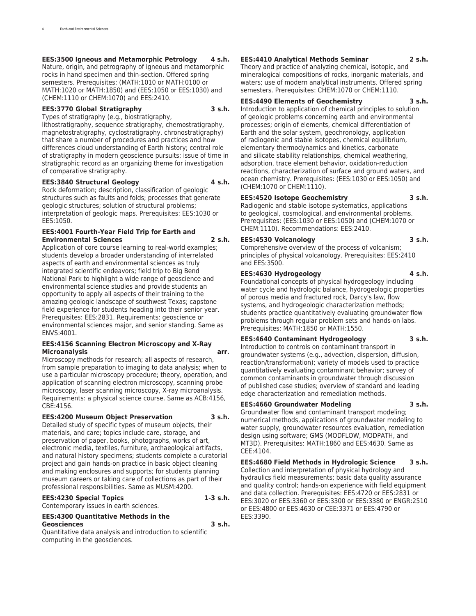## **EES:3500 Igneous and Metamorphic Petrology 4 s.h.**

Nature, origin, and petrography of igneous and metamorphic rocks in hand specimen and thin-section. Offered spring semesters. Prerequisites: (MATH:1010 or MATH:0100 or MATH:1020 or MATH:1850) and (EES:1050 or EES:1030) and (CHEM:1110 or CHEM:1070) and EES:2410.

## **EES:3770 Global Stratigraphy 3 s.h.**

Types of stratigraphy (e.g., biostratigraphy,

lithostratigraphy, sequence stratigraphy, chemostratigraphy, magnetostratigraphy, cyclostratigraphy, chronostratigraphy) that share a number of procedures and practices and how differences cloud understanding of Earth history; central role of stratigraphy in modern geoscience pursuits; issue of time in stratigraphic record as an organizing theme for investigation of comparative stratigraphy.

### **EES:3840 Structural Geology 4 s.h.**

Rock deformation; description, classification of geologic structures such as faults and folds; processes that generate geologic structures; solution of structural problems; interpretation of geologic maps. Prerequisites: EES:1030 or EES:1050.

#### **EES:4001 Fourth-Year Field Trip for Earth and Environmental Sciences 2 s.h.**

Application of core course learning to real-world examples; students develop a broader understanding of interrelated aspects of earth and environmental sciences as truly integrated scientific endeavors; field trip to Big Bend National Park to highlight a wide range of geoscience and environmental science studies and provide students an opportunity to apply all aspects of their training to the amazing geologic landscape of southwest Texas; capstone field experience for students heading into their senior year. Prerequisites: EES:2831. Requirements: geoscience or environmental sciences major, and senior standing. Same as ENVS:4001.

#### **EES:4156 Scanning Electron Microscopy and X-Ray Microanalysis arr.**

Microscopy methods for research; all aspects of research, from sample preparation to imaging to data analysis; when to use a particular microscopy procedure; theory, operation, and application of scanning electron microscopy, scanning probe microscopy, laser scanning microscopy, X-ray microanalysis. Requirements: a physical science course. Same as ACB:4156, CBE:4156.

## **EES:4200 Museum Object Preservation 3 s.h.**

Detailed study of specific types of museum objects, their materials, and care; topics include care, storage, and preservation of paper, books, photographs, works of art, electronic media, textiles, furniture, archaeological artifacts, and natural history specimens; students complete a curatorial project and gain hands-on practice in basic object cleaning and making enclosures and supports; for students planning museum careers or taking care of collections as part of their professional responsibilities. Same as MUSM:4200.

## **EES:4230 Special Topics 1-3 s.h.**

Contemporary issues in earth sciences.

#### **EES:4300 Quantitative Methods in the Geosciences 3 s.h.**

Quantitative data analysis and introduction to scientific computing in the geosciences.

#### **EES:4410 Analytical Methods Seminar 2 s.h.**

Theory and practice of analyzing chemical, isotopic, and mineralogical compositions of rocks, inorganic materials, and waters; use of modern analytical instruments. Offered spring semesters. Prerequisites: CHEM:1070 or CHEM:1110.

#### **EES:4490 Elements of Geochemistry 3 s.h.**

Introduction to application of chemical principles to solution of geologic problems concerning earth and environmental processes; origin of elements, chemical differentiation of Earth and the solar system, geochronology, application of radiogenic and stable isotopes, chemical equilibrium, elementary thermodynamics and kinetics, carbonate and silicate stability relationships, chemical weathering, adsorption, trace element behavior, oxidation-reduction reactions, characterization of surface and ground waters, and ocean chemistry. Prerequisites: (EES:1030 or EES:1050) and (CHEM:1070 or CHEM:1110).

## **EES:4520 Isotope Geochemistry 3 s.h.**

Radiogenic and stable isotope systematics, applications to geological, cosmological, and environmental problems. Prerequisites: (EES:1030 or EES:1050) and (CHEM:1070 or CHEM:1110). Recommendations: EES:2410.

## **EES:4530 Volcanology 3 s.h.**

Comprehensive overview of the process of volcanism; principles of physical volcanology. Prerequisites: EES:2410 and EES:3500.

## **EES:4630 Hydrogeology 4 s.h.**

Foundational concepts of physical hydrogeology including water cycle and hydrologic balance, hydrogeologic properties of porous media and fractured rock, Darcy's law, flow systems, and hydrogeologic characterization methods; students practice quantitatively evaluating groundwater flow problems through regular problem sets and hands-on labs. Prerequisites: MATH:1850 or MATH:1550.

## **EES:4640 Contaminant Hydrogeology 3 s.h.**

Introduction to controls on contaminant transport in groundwater systems (e.g., advection, dispersion, diffusion, reaction/transformation); variety of models used to practice quantitatively evaluating contaminant behavior; survey of common contaminants in groundwater through discussion of published case studies; overview of standard and leading edge characterization and remediation methods.

## **EES:4660 Groundwater Modeling 3 s.h.**

Groundwater flow and contaminant transport modeling; numerical methods, applications of groundwater modeling to water supply, groundwater resources evaluation, remediation design using software; GMS (MODFLOW, MODPATH, and MT3D). Prerequisites: MATH:1860 and EES:4630. Same as CEE:4104.

**EES:4680 Field Methods in Hydrologic Science 3 s.h.** Collection and interpretation of physical hydrology and hydraulics field measurements; basic data quality assurance and quality control; hands-on experience with field equipment and data collection. Prerequisites: EES:4720 or EES:2831 or EES:3020 or EES:3360 or EES:3300 or EES:3380 or ENGR:2510 or EES:4800 or EES:4630 or CEE:3371 or EES:4790 or EES:3390.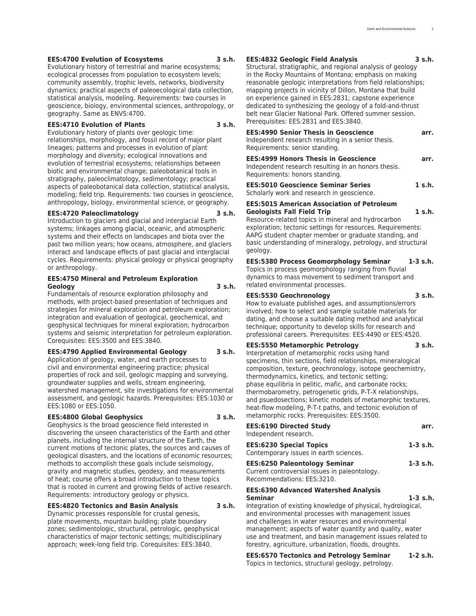#### **EES:4700 Evolution of Ecosystems 3 s.h.**

Evolutionary history of terrestrial and marine ecosystems; ecological processes from population to ecosystem levels; community assembly, trophic levels, networks, biodiversity dynamics; practical aspects of paleoecological data collection, statistical analysis, modeling. Requirements: two courses in geoscience, biology, environmental sciences, anthropology, or geography. Same as ENVS:4700.

#### **EES:4710 Evolution of Plants 3 s.h.**

Evolutionary history of plants over geologic time: relationships, morphology, and fossil record of major plant lineages; patterns and processes in evolution of plant morphology and diversity; ecological innovations and evolution of terrestrial ecosystems; relationships between biotic and environmental change; paleobotanical tools in stratigraphy, paleoclimatology, sedimentology; practical aspects of paleobotanical data collection, statistical analysis, modeling; field trip. Requirements: two courses in geoscience, anthropology, biology, environmental science, or geography.

#### **EES:4720 Paleoclimatology 3 s.h.**

Introduction to glaciers and glacial and interglacial Earth systems; linkages among glacial, oceanic, and atmospheric systems and their effects on landscapes and biota over the past two million years; how oceans, atmosphere, and glaciers interact and landscape effects of past glacial and interglacial cycles. Requirements: physical geology or physical geography or anthropology.

#### **EES:4750 Mineral and Petroleum Exploration Geology 3 s.h.**

Fundamentals of resource exploration philosophy and methods, with project-based presentation of techniques and strategies for mineral exploration and petroleum exploration; integration and evaluation of geological, geochemical, and geophysical techniques for mineral exploration; hydrocarbon systems and seismic interpretation for petroleum exploration. Corequisites: EES:3500 and EES:3840.

## **EES:4790 Applied Environmental Geology 3 s.h.**

Application of geology, water, and earth processes to civil and environmental engineering practice; physical properties of rock and soil, geologic mapping and surveying, groundwater supplies and wells, stream engineering, watershed management, site investigations for environmental assessment, and geologic hazards. Prerequisites: EES:1030 or EES:1080 or EES:1050.

#### **EES:4800 Global Geophysics 3 s.h.**

Geophysics is the broad geoscience field interested in discovering the unseen characteristics of the Earth and other planets, including the internal structure of the Earth, the current motions of tectonic plates, the sources and causes of geological disasters, and the locations of economic resources; methods to accomplish these goals include seismology, gravity and magnetic studies, geodesy, and measurements of heat; course offers a broad introduction to these topics that is rooted in current and growing fields of active research. Requirements: introductory geology or physics.

## **EES:4820 Tectonics and Basin Analysis 3 s.h.**

Dynamic processes responsible for crustal genesis, plate movements, mountain building; plate boundary zones; sedimentologic, structural, petrologic, geophysical characteristics of major tectonic settings; multidisciplinary approach; week-long field trip. Corequisites: EES:3840.

## **EES:4832 Geologic Field Analysis 3 s.h.**

Structural, stratigraphic, and regional analysis of geology in the Rocky Mountains of Montana; emphasis on making reasonable geologic interpretations from field relationships; mapping projects in vicinity of Dillon, Montana that build on experience gained in EES:2831; capstone experience dedicated to synthesizing the geology of a fold-and-thrust belt near Glacier National Park. Offered summer session. Prerequisites: EES:2831 and EES:3840.

## **EES:4990 Senior Thesis in Geoscience arr.** Independent research resulting in a senior thesis. Requirements: senior standing.

**EES:4999 Honors Thesis in Geoscience arr.** Independent research resulting in an honors thesis. Requirements: honors standing.

**EES:5010 Geoscience Seminar Series 1 s.h.** Scholarly work and research in geoscience.

## **EES:5015 American Association of Petroleum Geologists Fall Field Trip 1 s.h.**

Resource-related topics in mineral and hydrocarbon exploration; tectonic settings for resources. Requirements: AAPG student chapter member or graduate standing, and basic understanding of mineralogy, petrology, and structural geology.

## **EES:5380 Process Geomorphology Seminar 1-3 s.h.**

Topics in process geomorphology ranging from fluvial dynamics to mass movement to sediment transport and related environmental processes.

#### **EES:5530 Geochronology 3 s.h.**

How to evaluate published ages, and assumptions/errors involved; how to select and sample suitable materials for dating, and choose a suitable dating method and analytical technique; opportunity to develop skills for research and professional careers. Prerequisites: EES:4490 or EES:4520.

## **EES:5550 Metamorphic Petrology 3 s.h.**

Interpretation of metamorphic rocks using hand specimens, thin sections, field relationships, mineralogical composition, texture, geochronology, isotope geochemistry, thermodynamics, kinetics, and tectonic setting; phase equilibria in pelitic, mafic, and carbonate rocks; thermobarometry, petrogenetic grids, P-T-X relationships, and psuedosections; kinetic models of metamorphic textures, heat-flow modeling, P-T-t paths, and tectonic evolution of metamorphic rocks. Prerequisites: EES:3500.

| <b>EES:6190 Directed Study</b><br>Independent research.<br><b>EES:6230 Special Topics</b><br>Contemporary issues in earth sciences. | arr.<br>$1-3$ s.h. |
|-------------------------------------------------------------------------------------------------------------------------------------|--------------------|
|                                                                                                                                     |                    |
| <b>EES:6390 Advanced Watershed Analysis</b><br>Seminar                                                                              | $1-3$ s.h.         |

Integration of existing knowledge of physical, hydrological, and environmental processes with management issues and challenges in water resources and environmental management; aspects of water quantity and quality, water use and treatment, and basin management issues related to forestry, agriculture, urbanization, floods, droughts.

**EES:6570 Tectonics and Petrology Seminar 1-2 s.h.** Topics in tectonics, structural geology, petrology.